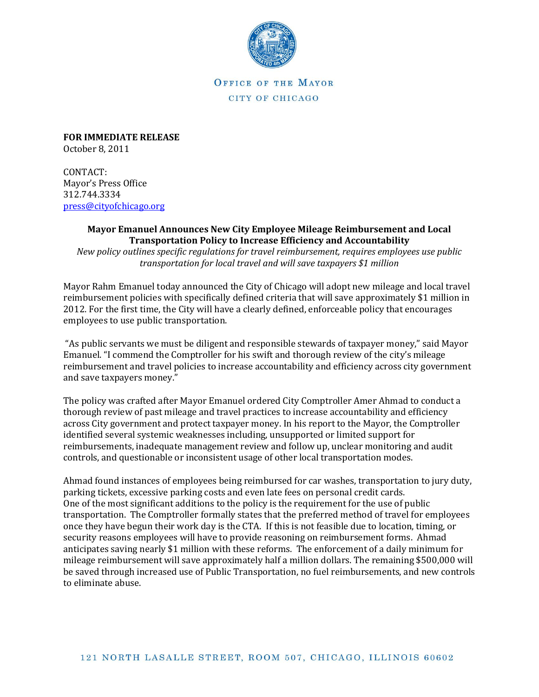

OFFICE OF THE MAYOR CITY OF CHICAGO

**FOR IMMEDIATE RELEASE** October 8, 2011

CONTACT: Mayor's Press Office 312.744.3334 [press@cityofchicago.org](https://connect.cityofchicago.org/owa/,DanaInfo=basicauth.cityofchicago.local,SSL+redir.aspx?C=d5e5a936d087432f958b3c186e610028&URL=mailto%3apress%40cityofchicago.org)

## **Mayor Emanuel Announces New City Employee Mileage Reimbursement and Local Transportation Policy to Increase Efficiency and Accountability**

*New policy outlines specific regulations for travel reimbursement, requires employees use public transportation for local travel and will save taxpayers \$1 million*

Mayor Rahm Emanuel today announced the City of Chicago will adopt new mileage and local travel reimbursement policies with specifically defined criteria that will save approximately \$1 million in 2012. For the first time, the City will have a clearly defined, enforceable policy that encourages employees to use public transportation.

"As public servants we must be diligent and responsible stewards of taxpayer money," said Mayor Emanuel. "I commend the Comptroller for his swift and thorough review of the city's mileage reimbursement and travel policies to increase accountability and efficiency across city government and save taxpayers money."

The policy was crafted after Mayor Emanuel ordered City Comptroller Amer Ahmad to conduct a thorough review of past mileage and travel practices to increase accountability and efficiency across City government and protect taxpayer money. In his report to the Mayor, the Comptroller identified several systemic weaknesses including, unsupported or limited support for reimbursements, inadequate management review and follow up, unclear monitoring and audit controls, and questionable or inconsistent usage of other local transportation modes.

Ahmad found instances of employees being reimbursed for car washes, transportation to jury duty, parking tickets, excessive parking costs and even late fees on personal credit cards. One of the most significant additions to the policy is the requirement for the use of public transportation. The Comptroller formally states that the preferred method of travel for employees once they have begun their work day is the CTA. If this is not feasible due to location, timing, or security reasons employees will have to provide reasoning on reimbursement forms. Ahmad anticipates saving nearly \$1 million with these reforms. The enforcement of a daily minimum for mileage reimbursement will save approximately half a million dollars. The remaining \$500,000 will be saved through increased use of Public Transportation, no fuel reimbursements, and new controls to eliminate abuse.